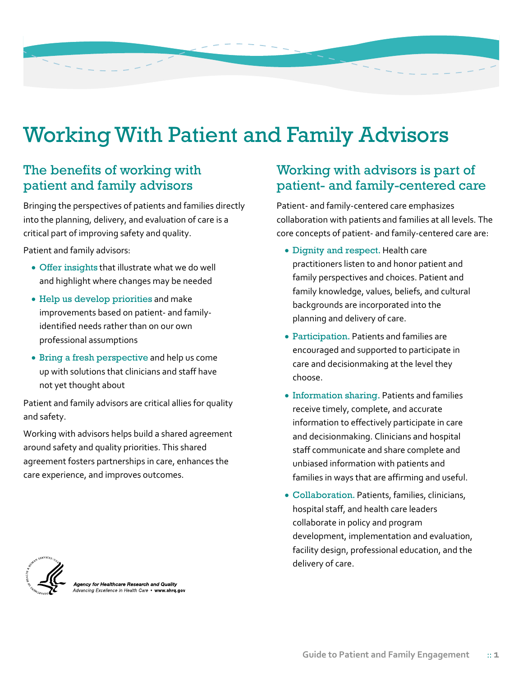## Working With Patient and Family Advisors

## The benefits of working with patient and family advisors

Bringing the perspectives of patients and families directly into the planning, delivery, and evaluation of care is a critical part of improving safety and quality.

Patient and family advisors:

- Offer insights that illustrate what we do well and highlight where changes may be needed
- Help us develop priorities and make improvements based on patient- and familyidentified needs rather than on our own professional assumptions
- Bring a fresh perspective and help us come up with solutions that clinicians and staff have not yet thought about

Patient and family advisors are critical allies for quality and safety.

Working with advisors helps build a shared agreement around safety and quality priorities. This shared agreement fosters partnerships in care, enhances the care experience, and improves outcomes.

## Working with advisors is part of patient- and family-centered care

Patient- and family-centered care emphasizes collaboration with patients and families at all levels. The core concepts of patient- and family-centered care are:

- Dignity and respect. Health care practitioners listen to and honor patient and family perspectives and choices. Patient and family knowledge, values, beliefs, and cultural backgrounds are incorporated into the planning and delivery of care.
- Participation. Patients and families are encouraged and supported to participate in care and decisionmaking at the level they choose.
- Information sharing. Patients and families receive timely, complete, and accurate information to effectively participate in care and decisionmaking. Clinicians and hospital staff communicate and share complete and unbiased information with patients and families in ways that are affirming and useful.
- Collaboration. Patients, families, clinicians, hospital staff, and health care leaders collaborate in policy and program development, implementation and evaluation, facility design, professional education, and the delivery of care.



**\gency for Healthcare Research and Quality**<br>dvancing Excellence in Health Care • www.<mark>ahrq.go</mark>v